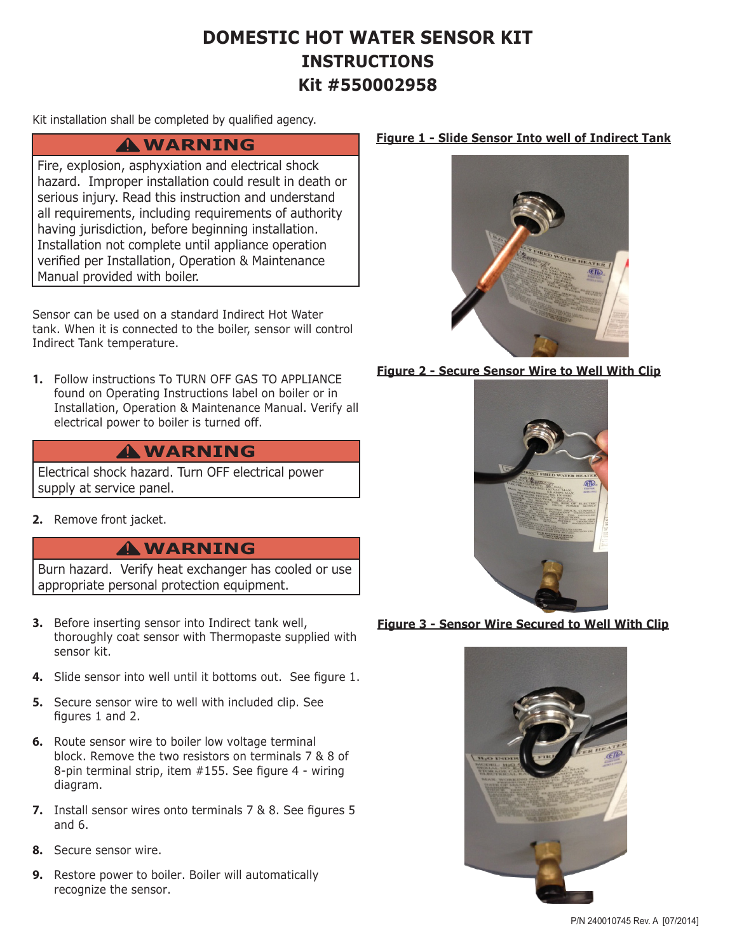# **DOMESTIC HOT WATER SENSOR KIT INSTRUCTIONS Kit #550002958**

Kit installation shall be completed by qualified agency.

## **WARNING !**

Fire, explosion, asphyxiation and electrical shock hazard. Improper installation could result in death or serious injury. Read this instruction and understand all requirements, including requirements of authority having jurisdiction, before beginning installation. Installation not complete until appliance operation verified per Installation, Operation & Maintenance Manual provided with boiler.

Sensor can be used on a standard Indirect Hot Water tank. When it is connected to the boiler, sensor will control Indirect Tank temperature.

**1.** Follow instructions To TURN OFF GAS TO APPLIANCE found on Operating Instructions label on boiler or in Installation, Operation & Maintenance Manual. Verify all electrical power to boiler is turned off.

## **WARNING !**

Electrical shock hazard. Turn OFF electrical power supply at service panel.

**2.** Remove front jacket.

## **WARNING !**

Burn hazard. Verify heat exchanger has cooled or use appropriate personal protection equipment.

- **3.** Before inserting sensor into Indirect tank well, thoroughly coat sensor with Thermopaste supplied with sensor kit.
- **4.** Slide sensor into well until it bottoms out. See figure 1.
- **5.** Secure sensor wire to well with included clip. See figures 1 and 2.
- **6.** Route sensor wire to boiler low voltage terminal block. Remove the two resistors on terminals 7 & 8 of 8-pin terminal strip, item #155. See figure 4 - wiring diagram.
- **7.** Install sensor wires onto terminals 7 & 8. See figures 5 and 6.
- **8.** Secure sensor wire.
- **9.** Restore power to boiler. Boiler will automatically recognize the sensor.

## **Figure 1 - Slide Sensor Into well of Indirect Tank**



## **Figure 2 - Secure Sensor Wire to Well With Clip**



### **Figure 3 - Sensor Wire Secured to Well With Clip**

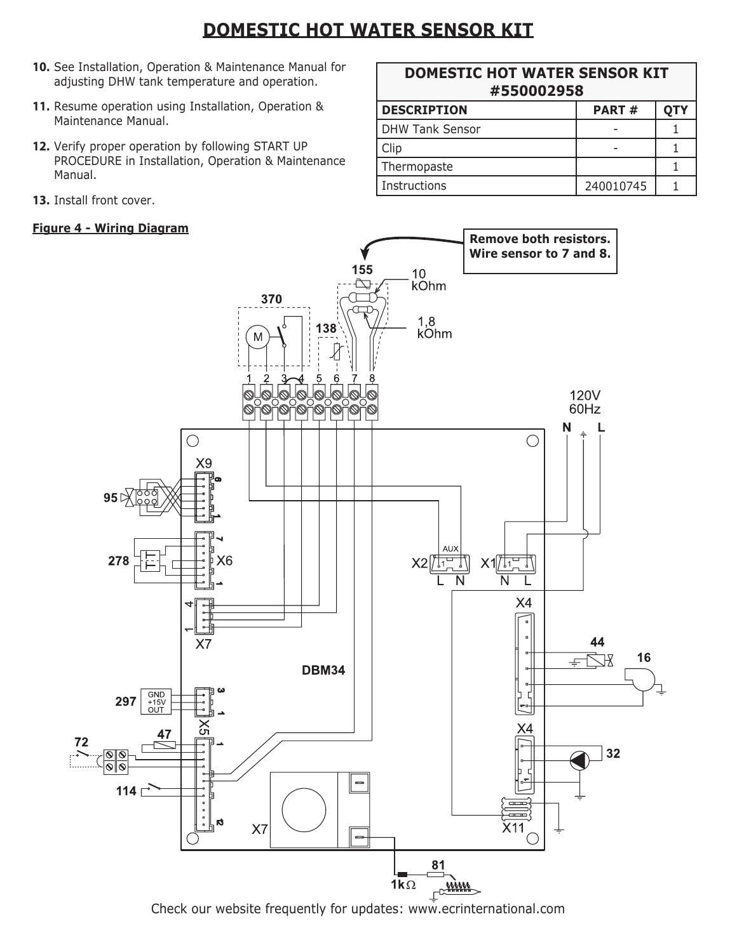# **DOMESTIC HOT WATER SENSOR KIT**

- **10.** See Installation, Operation & Maintenance Manual for adjusting DHW tank temperature and operation.
- **11.** Resume operation using Installation, Operation & Maintenance Manual.
- **12.** Verify proper operation by following START UP PROCEDURE in Installation, Operation & Maintenance Manual.
- **13.** Install front cover.

| <b>DOMESTIC HOT WATER SENSOR KIT</b> |              |            |  |
|--------------------------------------|--------------|------------|--|
| #550002958                           |              |            |  |
| <b>DESCRIPTION</b>                   | <b>PART#</b> | <b>OTY</b> |  |

| <b>DHW Tank Sensor</b> |           |  |
|------------------------|-----------|--|
| Clip                   |           |  |
| Thermopaste            |           |  |
| Instructions           | 240010745 |  |